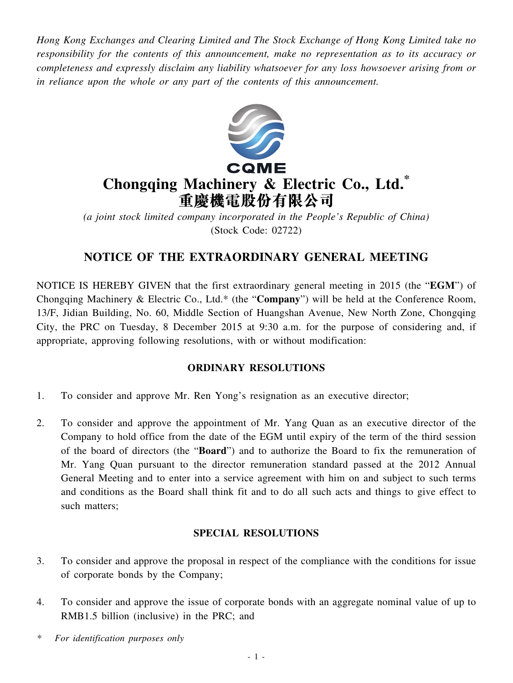*Hong Kong Exchanges and Clearing Limited and The Stock Exchange of Hong Kong Limited take no responsibility for the contents of this announcement, make no representation as to its accuracy or completeness and expressly disclaim any liability whatsoever for any loss howsoever arising from or in reliance upon the whole or any part of the contents of this announcement.*



## **Chongqing Machinery & Electric Co., Ltd.\* 重慶機電股份有限公司**

*(a joint stock limited company incorporated in the People's Republic of China)* (Stock Code: 02722)

## **NOTICE OF THE EXTRAORDINARY GENERAL MEETING**

NOTICE IS HEREBY GIVEN that the first extraordinary general meeting in 2015 (the "**EGM**") of Chongqing Machinery & Electric Co., Ltd.\* (the "**Company**") will be held at the Conference Room, 13/F, Jidian Building, No. 60, Middle Section of Huangshan Avenue, New North Zone, Chongqing City, the PRC on Tuesday, 8 December 2015 at 9:30 a.m. for the purpose of considering and, if appropriate, approving following resolutions, with or without modification:

## **ORDINARY RESOLUTIONS**

- 1. To consider and approve Mr. Ren Yong's resignation as an executive director;
- 2. To consider and approve the appointment of Mr. Yang Quan as an executive director of the Company to hold office from the date of the EGM until expiry of the term of the third session of the board of directors (the "**Board**") and to authorize the Board to fix the remuneration of Mr. Yang Quan pursuant to the director remuneration standard passed at the 2012 Annual General Meeting and to enter into a service agreement with him on and subject to such terms and conditions as the Board shall think fit and to do all such acts and things to give effect to such matters;

## **SPECIAL RESOLUTIONS**

- 3. To consider and approve the proposal in respect of the compliance with the conditions for issue of corporate bonds by the Company;
- 4. To consider and approve the issue of corporate bonds with an aggregate nominal value of up to RMB1.5 billion (inclusive) in the PRC; and
- *\* For identification purposes only*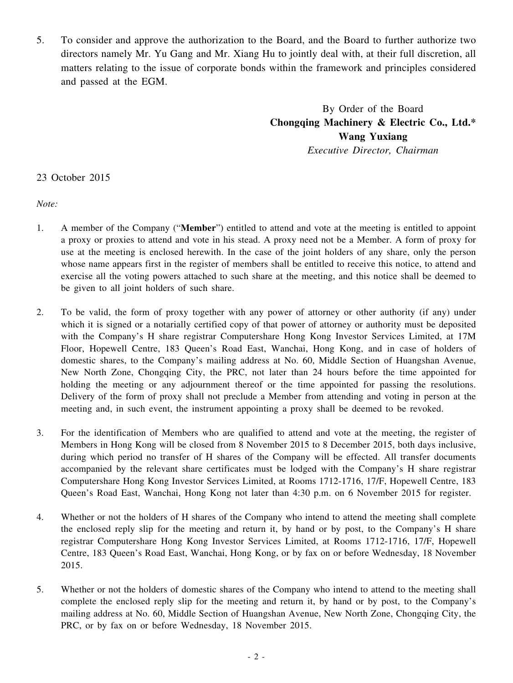5. To consider and approve the authorization to the Board, and the Board to further authorize two directors namely Mr. Yu Gang and Mr. Xiang Hu to jointly deal with, at their full discretion, all matters relating to the issue of corporate bonds within the framework and principles considered and passed at the EGM.

> By Order of the Board **Chongqing Machinery & Electric Co., Ltd.\* Wang Yuxiang** *Executive Director, Chairman*

23 October 2015

*Note:*

- 1. A member of the Company ("**Member**") entitled to attend and vote at the meeting is entitled to appoint a proxy or proxies to attend and vote in his stead. A proxy need not be a Member. A form of proxy for use at the meeting is enclosed herewith. In the case of the joint holders of any share, only the person whose name appears first in the register of members shall be entitled to receive this notice, to attend and exercise all the voting powers attached to such share at the meeting, and this notice shall be deemed to be given to all joint holders of such share.
- 2. To be valid, the form of proxy together with any power of attorney or other authority (if any) under which it is signed or a notarially certified copy of that power of attorney or authority must be deposited with the Company's H share registrar Computershare Hong Kong Investor Services Limited, at 17M Floor, Hopewell Centre, 183 Queen's Road East, Wanchai, Hong Kong, and in case of holders of domestic shares, to the Company's mailing address at No. 60, Middle Section of Huangshan Avenue, New North Zone, Chongqing City, the PRC, not later than 24 hours before the time appointed for holding the meeting or any adjournment thereof or the time appointed for passing the resolutions. Delivery of the form of proxy shall not preclude a Member from attending and voting in person at the meeting and, in such event, the instrument appointing a proxy shall be deemed to be revoked.
- 3. For the identification of Members who are qualified to attend and vote at the meeting, the register of Members in Hong Kong will be closed from 8 November 2015 to 8 December 2015, both days inclusive, during which period no transfer of H shares of the Company will be effected. All transfer documents accompanied by the relevant share certificates must be lodged with the Company's H share registrar Computershare Hong Kong Investor Services Limited, at Rooms 1712-1716, 17/F, Hopewell Centre, 183 Queen's Road East, Wanchai, Hong Kong not later than 4:30 p.m. on 6 November 2015 for register.
- 4. Whether or not the holders of H shares of the Company who intend to attend the meeting shall complete the enclosed reply slip for the meeting and return it, by hand or by post, to the Company's H share registrar Computershare Hong Kong Investor Services Limited, at Rooms 1712-1716, 17/F, Hopewell Centre, 183 Queen's Road East, Wanchai, Hong Kong, or by fax on or before Wednesday, 18 November 2015.
- 5. Whether or not the holders of domestic shares of the Company who intend to attend to the meeting shall complete the enclosed reply slip for the meeting and return it, by hand or by post, to the Company's mailing address at No. 60, Middle Section of Huangshan Avenue, New North Zone, Chongqing City, the PRC, or by fax on or before Wednesday, 18 November 2015.